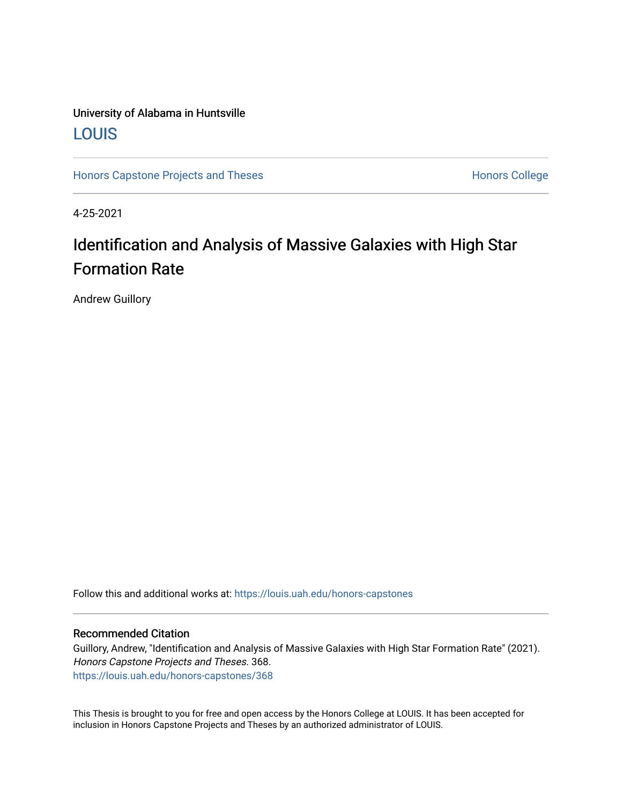# University of Alabama in Huntsville [LOUIS](https://louis.uah.edu/)

[Honors Capstone Projects and Theses](https://louis.uah.edu/honors-capstones) **Honors College** Honors College

4-25-2021

# Identification and Analysis of Massive Galaxies with High Star Formation Rate

Andrew Guillory

Follow this and additional works at: [https://louis.uah.edu/honors-capstones](https://louis.uah.edu/honors-capstones?utm_source=louis.uah.edu%2Fhonors-capstones%2F368&utm_medium=PDF&utm_campaign=PDFCoverPages) 

#### Recommended Citation

Guillory, Andrew, "Identification and Analysis of Massive Galaxies with High Star Formation Rate" (2021). Honors Capstone Projects and Theses. 368. [https://louis.uah.edu/honors-capstones/368](https://louis.uah.edu/honors-capstones/368?utm_source=louis.uah.edu%2Fhonors-capstones%2F368&utm_medium=PDF&utm_campaign=PDFCoverPages) 

This Thesis is brought to you for free and open access by the Honors College at LOUIS. It has been accepted for inclusion in Honors Capstone Projects and Theses by an authorized administrator of LOUIS.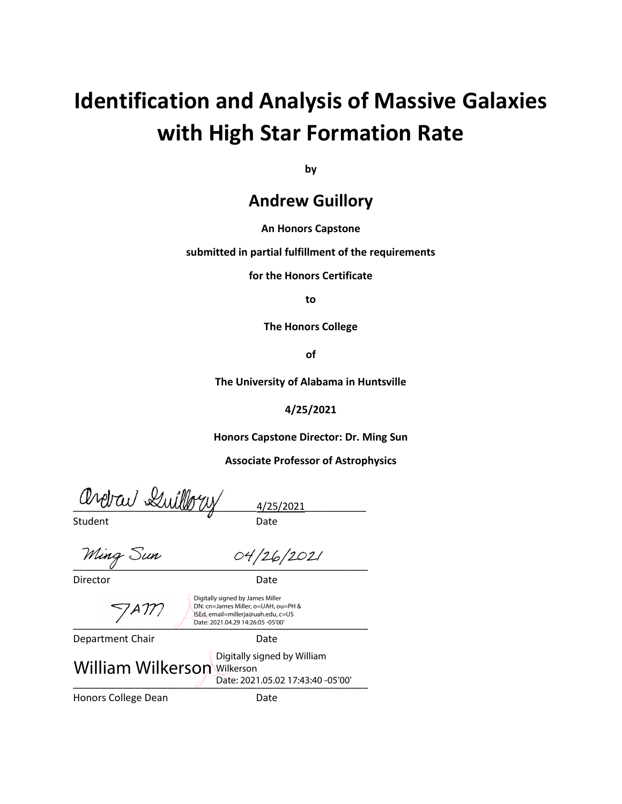# **Identification and Analysis of Massive Galaxies with High Star Formation Rate**

**by**

# **Andrew Guillory**

#### **An Honors Capstone**

**submitted in partial fulfillment of the requirements** 

**for the Honors Certificate**

**to** 

**The Honors College** 

**of** 

**The University of Alabama in Huntsville**

**4/25/2021**

**Honors Capstone Director: Dr. Ming Sun**

**Associate Professor of Astrophysics**

\_\_\_\_\_\_\_\_\_\_\_\_\_\_\_\_\_\_\_\_\_\_\_\_\_\_\_\_\_\_\_\_\_4/25/2021\_\_\_\_\_\_\_\_\_\_\_

Student **Date** 

Ming Sun 04/26/2021

Director Date

Digitally signed by James Miller 7 A IM

DN: cn=James Miller, o=UAH, ou=PH & ISEd, email=millerja@uah.edu, c=US

\_\_\_\_\_\_\_\_\_\_\_\_\_\_\_\_\_\_\_\_\_\_\_\_\_\_\_\_\_\_\_\_\_\_\_\_\_\_\_\_\_\_\_\_\_\_\_\_\_\_\_\_\_ Date: 2021.04.29 14:26:05 -05'00' Department Chair **Date** 

\_\_\_\_\_\_\_\_\_\_\_\_\_\_\_\_\_\_\_\_\_\_\_\_\_\_\_\_\_\_\_\_\_\_\_\_\_\_\_\_\_\_\_\_\_\_\_\_\_\_\_\_\_ Date: 2021.05.02 17:43:40 -05'00'Honors College Dean Date William Wilkerson Wilkerson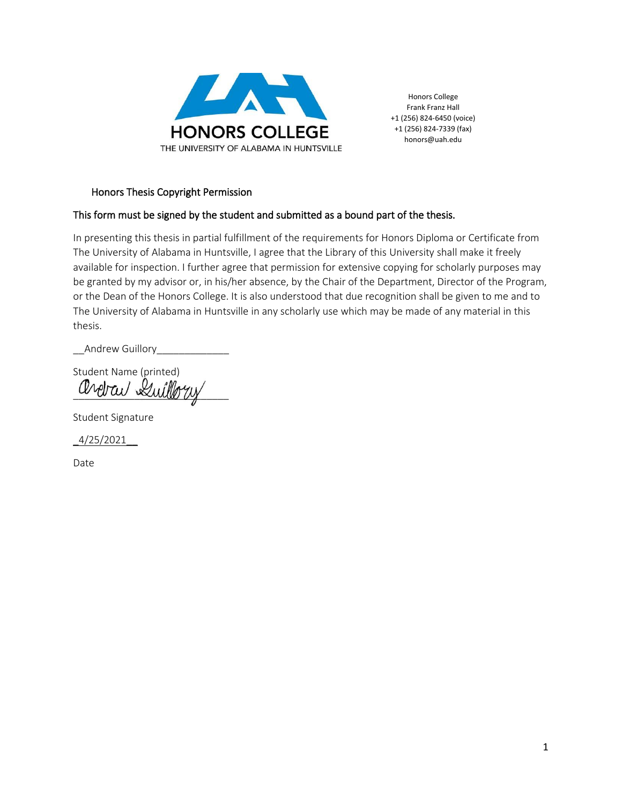

Honors College Frank Franz Hall +1 (256) 824-6450 (voice) +1 (256) 824-7339 (fax) honors@uah.edu

#### Honors Thesis Copyright Permission

#### This form must be signed by the student and submitted as a bound part of the thesis.

In presenting this thesis in partial fulfillment of the requirements for Honors Diploma or Certificate from The University of Alabama in Huntsville, I agree that the Library of this University shall make it freely available for inspection. I further agree that permission for extensive copying for scholarly purposes may be granted by my advisor or, in his/her absence, by the Chair of the Department, Director of the Program, or the Dean of the Honors College. It is also understood that due recognition shall be given to me and to The University of Alabama in Huntsville in any scholarly use which may be made of any material in this thesis.

\_\_Andrew Guillory\_\_\_\_\_\_\_\_\_\_\_\_\_

Student Name (printed) ardrav Luilbru

Student Signature

 $4/25/2021$ 

Date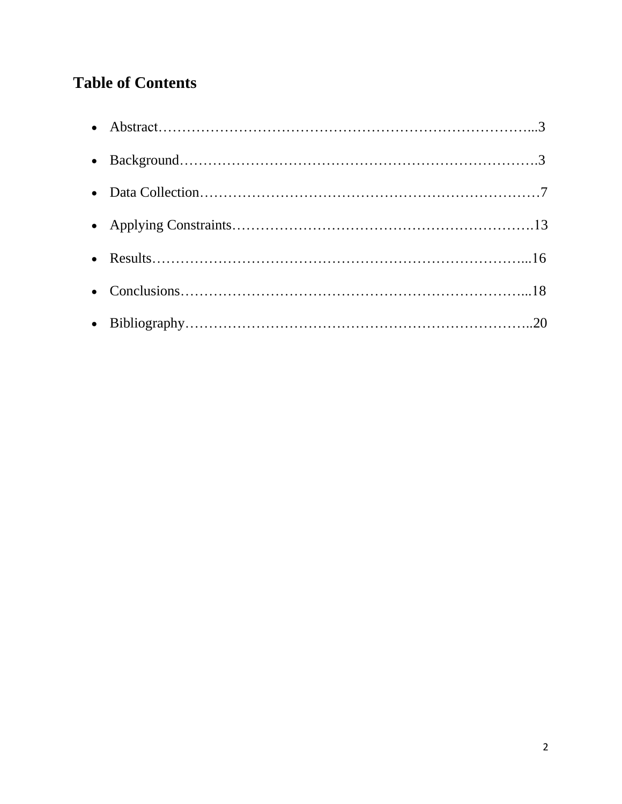# **Table of Contents**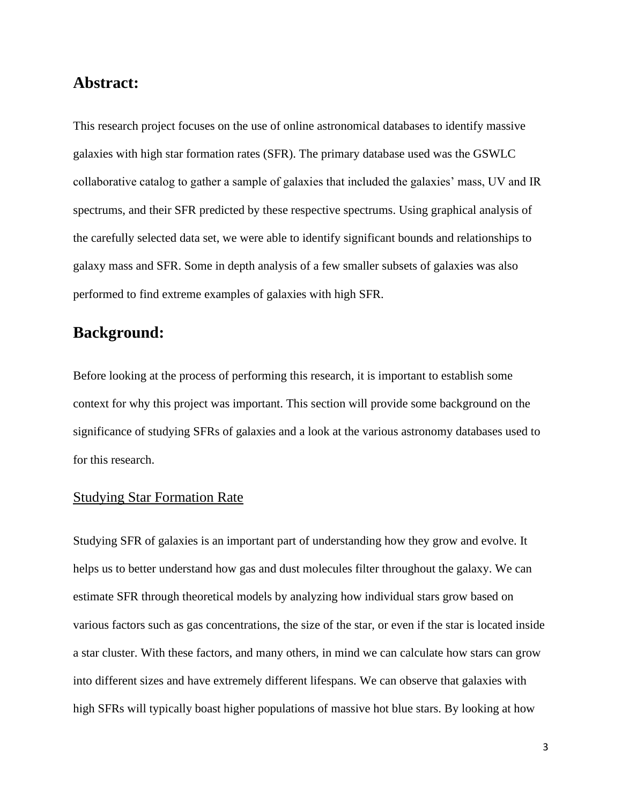# **Abstract:**

This research project focuses on the use of online astronomical databases to identify massive galaxies with high star formation rates (SFR). The primary database used was the GSWLC collaborative catalog to gather a sample of galaxies that included the galaxies' mass, UV and IR spectrums, and their SFR predicted by these respective spectrums. Using graphical analysis of the carefully selected data set, we were able to identify significant bounds and relationships to galaxy mass and SFR. Some in depth analysis of a few smaller subsets of galaxies was also performed to find extreme examples of galaxies with high SFR.

# **Background:**

Before looking at the process of performing this research, it is important to establish some context for why this project was important. This section will provide some background on the significance of studying SFRs of galaxies and a look at the various astronomy databases used to for this research.

#### Studying Star Formation Rate

Studying SFR of galaxies is an important part of understanding how they grow and evolve. It helps us to better understand how gas and dust molecules filter throughout the galaxy. We can estimate SFR through theoretical models by analyzing how individual stars grow based on various factors such as gas concentrations, the size of the star, or even if the star is located inside a star cluster. With these factors, and many others, in mind we can calculate how stars can grow into different sizes and have extremely different lifespans. We can observe that galaxies with high SFRs will typically boast higher populations of massive hot blue stars. By looking at how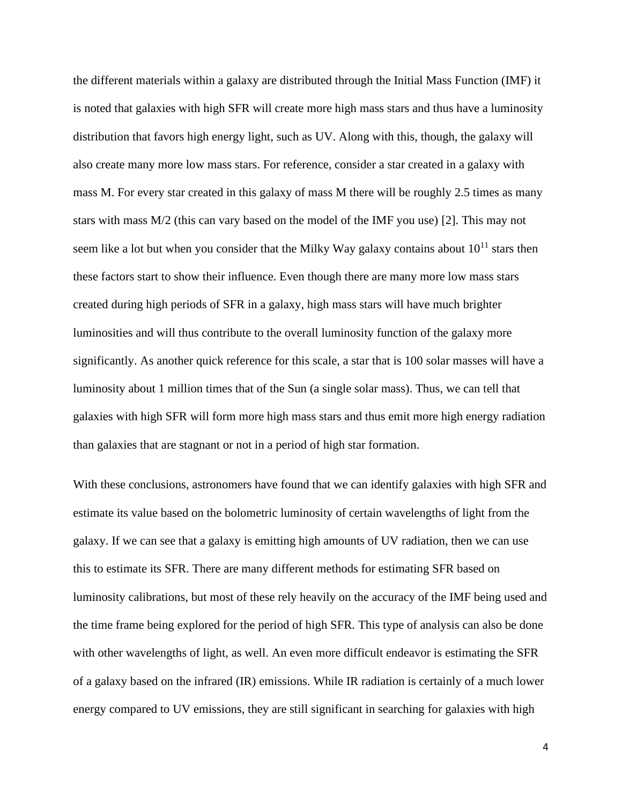the different materials within a galaxy are distributed through the Initial Mass Function (IMF) it is noted that galaxies with high SFR will create more high mass stars and thus have a luminosity distribution that favors high energy light, such as UV. Along with this, though, the galaxy will also create many more low mass stars. For reference, consider a star created in a galaxy with mass M. For every star created in this galaxy of mass M there will be roughly 2.5 times as many stars with mass M/2 (this can vary based on the model of the IMF you use) [2]. This may not seem like a lot but when you consider that the Milky Way galaxy contains about  $10^{11}$  stars then these factors start to show their influence. Even though there are many more low mass stars created during high periods of SFR in a galaxy, high mass stars will have much brighter luminosities and will thus contribute to the overall luminosity function of the galaxy more significantly. As another quick reference for this scale, a star that is 100 solar masses will have a luminosity about 1 million times that of the Sun (a single solar mass). Thus, we can tell that galaxies with high SFR will form more high mass stars and thus emit more high energy radiation than galaxies that are stagnant or not in a period of high star formation.

With these conclusions, astronomers have found that we can identify galaxies with high SFR and estimate its value based on the bolometric luminosity of certain wavelengths of light from the galaxy. If we can see that a galaxy is emitting high amounts of UV radiation, then we can use this to estimate its SFR. There are many different methods for estimating SFR based on luminosity calibrations, but most of these rely heavily on the accuracy of the IMF being used and the time frame being explored for the period of high SFR. This type of analysis can also be done with other wavelengths of light, as well. An even more difficult endeavor is estimating the SFR of a galaxy based on the infrared (IR) emissions. While IR radiation is certainly of a much lower energy compared to UV emissions, they are still significant in searching for galaxies with high

4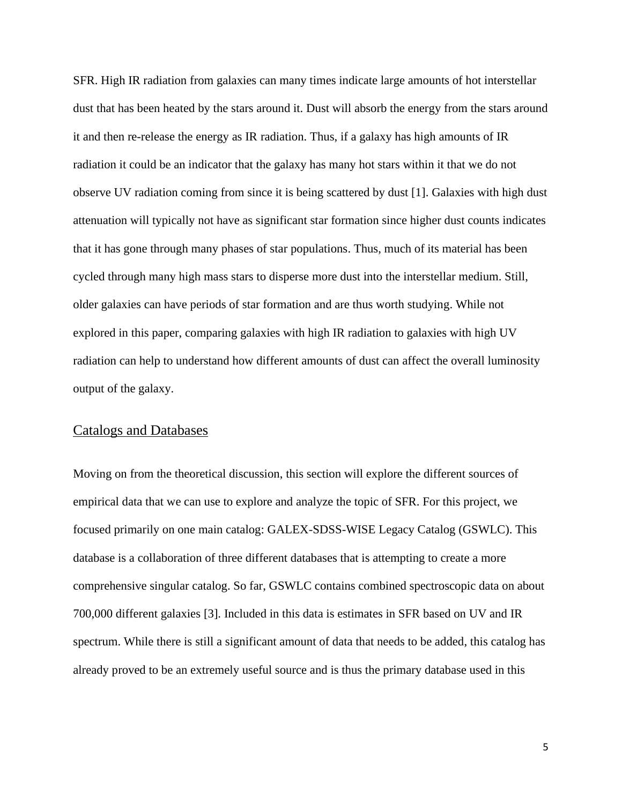SFR. High IR radiation from galaxies can many times indicate large amounts of hot interstellar dust that has been heated by the stars around it. Dust will absorb the energy from the stars around it and then re-release the energy as IR radiation. Thus, if a galaxy has high amounts of IR radiation it could be an indicator that the galaxy has many hot stars within it that we do not observe UV radiation coming from since it is being scattered by dust [1]. Galaxies with high dust attenuation will typically not have as significant star formation since higher dust counts indicates that it has gone through many phases of star populations. Thus, much of its material has been cycled through many high mass stars to disperse more dust into the interstellar medium. Still, older galaxies can have periods of star formation and are thus worth studying. While not explored in this paper, comparing galaxies with high IR radiation to galaxies with high UV radiation can help to understand how different amounts of dust can affect the overall luminosity output of the galaxy.

#### Catalogs and Databases

Moving on from the theoretical discussion, this section will explore the different sources of empirical data that we can use to explore and analyze the topic of SFR. For this project, we focused primarily on one main catalog: GALEX-SDSS-WISE Legacy Catalog (GSWLC). This database is a collaboration of three different databases that is attempting to create a more comprehensive singular catalog. So far, GSWLC contains combined spectroscopic data on about 700,000 different galaxies [3]. Included in this data is estimates in SFR based on UV and IR spectrum. While there is still a significant amount of data that needs to be added, this catalog has already proved to be an extremely useful source and is thus the primary database used in this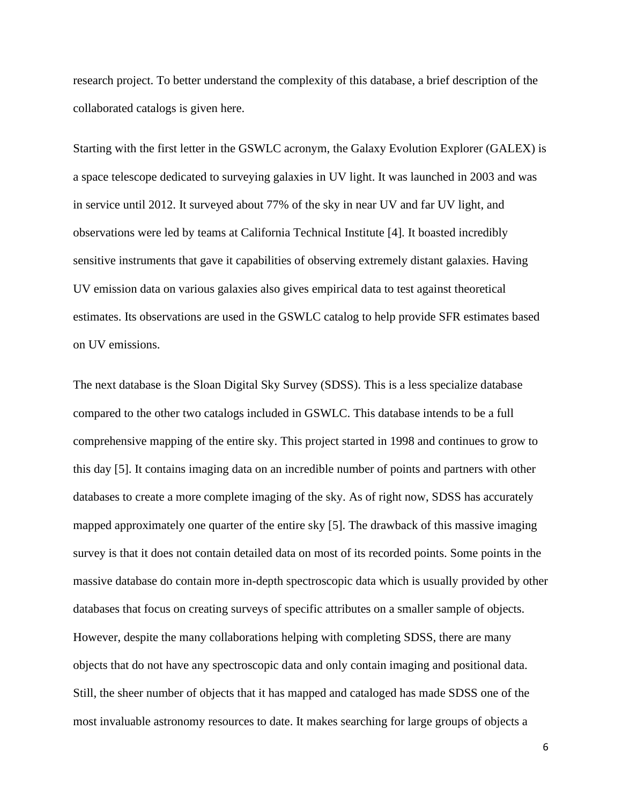research project. To better understand the complexity of this database, a brief description of the collaborated catalogs is given here.

Starting with the first letter in the GSWLC acronym, the Galaxy Evolution Explorer (GALEX) is a space telescope dedicated to surveying galaxies in UV light. It was launched in 2003 and was in service until 2012. It surveyed about 77% of the sky in near UV and far UV light, and observations were led by teams at California Technical Institute [4]. It boasted incredibly sensitive instruments that gave it capabilities of observing extremely distant galaxies. Having UV emission data on various galaxies also gives empirical data to test against theoretical estimates. Its observations are used in the GSWLC catalog to help provide SFR estimates based on UV emissions.

The next database is the Sloan Digital Sky Survey (SDSS). This is a less specialize database compared to the other two catalogs included in GSWLC. This database intends to be a full comprehensive mapping of the entire sky. This project started in 1998 and continues to grow to this day [5]. It contains imaging data on an incredible number of points and partners with other databases to create a more complete imaging of the sky. As of right now, SDSS has accurately mapped approximately one quarter of the entire sky [5]. The drawback of this massive imaging survey is that it does not contain detailed data on most of its recorded points. Some points in the massive database do contain more in-depth spectroscopic data which is usually provided by other databases that focus on creating surveys of specific attributes on a smaller sample of objects. However, despite the many collaborations helping with completing SDSS, there are many objects that do not have any spectroscopic data and only contain imaging and positional data. Still, the sheer number of objects that it has mapped and cataloged has made SDSS one of the most invaluable astronomy resources to date. It makes searching for large groups of objects a

6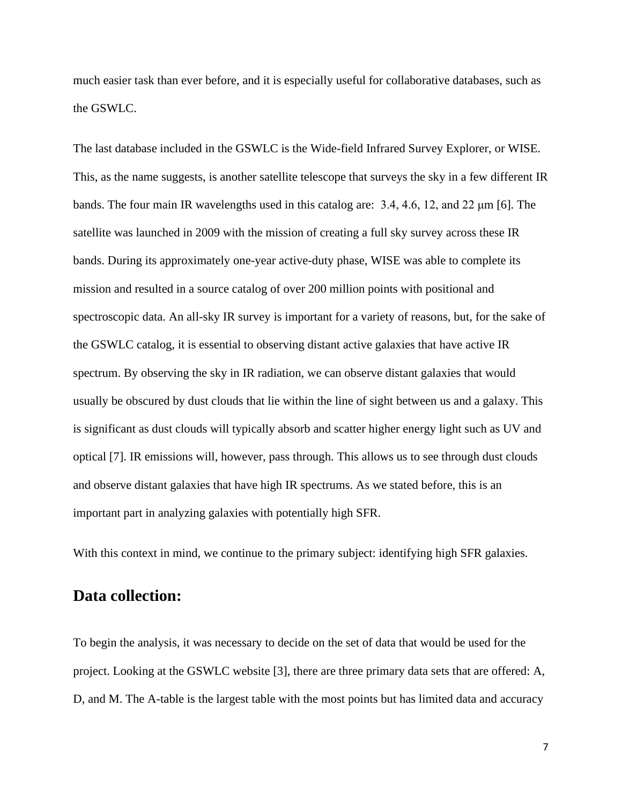much easier task than ever before, and it is especially useful for collaborative databases, such as the GSWLC.

The last database included in the GSWLC is the Wide-field Infrared Survey Explorer, or WISE. This, as the name suggests, is another satellite telescope that surveys the sky in a few different IR bands. The four main IR wavelengths used in this catalog are: 3.4, 4.6, 12, and 22 μm [6]. The satellite was launched in 2009 with the mission of creating a full sky survey across these IR bands. During its approximately one-year active-duty phase, WISE was able to complete its mission and resulted in a source catalog of over 200 million points with positional and spectroscopic data. An all-sky IR survey is important for a variety of reasons, but, for the sake of the GSWLC catalog, it is essential to observing distant active galaxies that have active IR spectrum. By observing the sky in IR radiation, we can observe distant galaxies that would usually be obscured by dust clouds that lie within the line of sight between us and a galaxy. This is significant as dust clouds will typically absorb and scatter higher energy light such as UV and optical [7]. IR emissions will, however, pass through. This allows us to see through dust clouds and observe distant galaxies that have high IR spectrums. As we stated before, this is an important part in analyzing galaxies with potentially high SFR.

With this context in mind, we continue to the primary subject: identifying high SFR galaxies.

# **Data collection:**

To begin the analysis, it was necessary to decide on the set of data that would be used for the project. Looking at the GSWLC website [3], there are three primary data sets that are offered: A, D, and M. The A-table is the largest table with the most points but has limited data and accuracy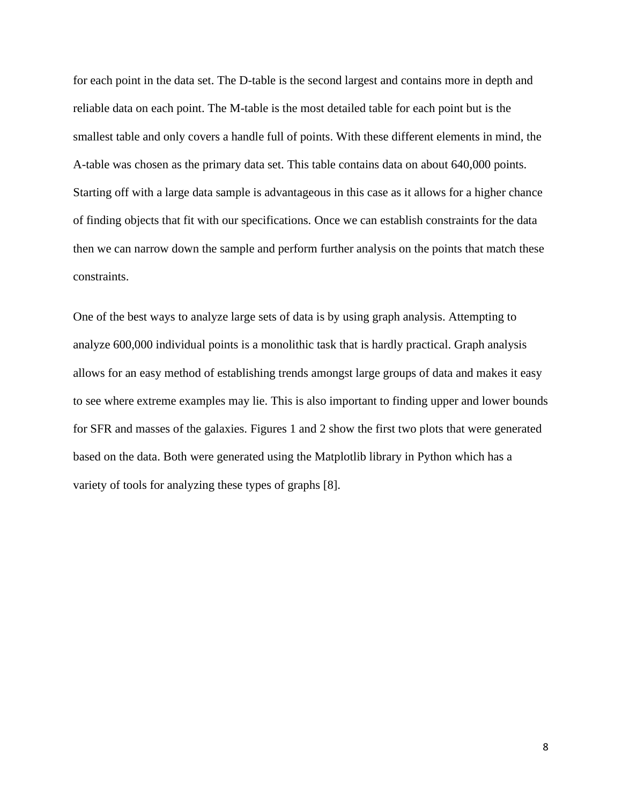for each point in the data set. The D-table is the second largest and contains more in depth and reliable data on each point. The M-table is the most detailed table for each point but is the smallest table and only covers a handle full of points. With these different elements in mind, the A-table was chosen as the primary data set. This table contains data on about 640,000 points. Starting off with a large data sample is advantageous in this case as it allows for a higher chance of finding objects that fit with our specifications. Once we can establish constraints for the data then we can narrow down the sample and perform further analysis on the points that match these constraints.

One of the best ways to analyze large sets of data is by using graph analysis. Attempting to analyze 600,000 individual points is a monolithic task that is hardly practical. Graph analysis allows for an easy method of establishing trends amongst large groups of data and makes it easy to see where extreme examples may lie. This is also important to finding upper and lower bounds for SFR and masses of the galaxies. Figures 1 and 2 show the first two plots that were generated based on the data. Both were generated using the Matplotlib library in Python which has a variety of tools for analyzing these types of graphs [8].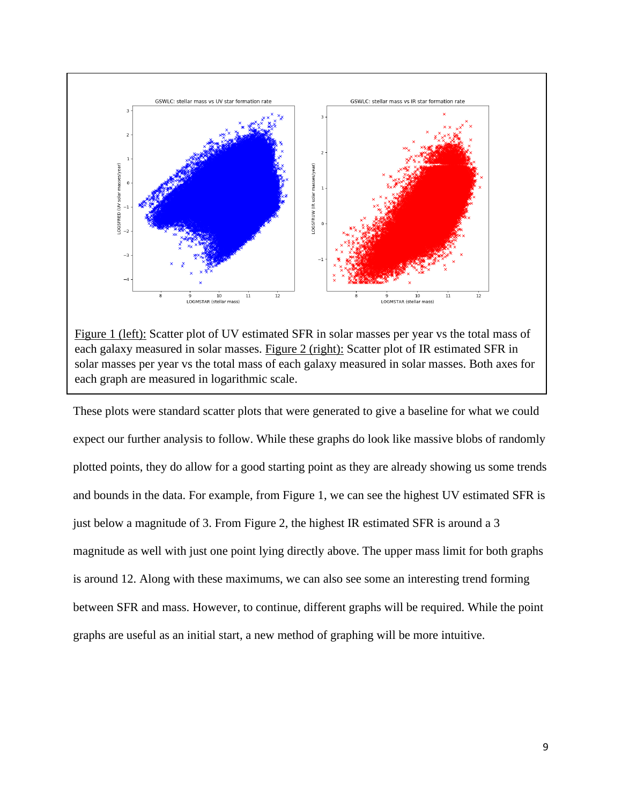

Figure 1 (left): Scatter plot of UV estimated SFR in solar masses per year vs the total mass of each galaxy measured in solar masses. Figure 2 (right): Scatter plot of IR estimated SFR in solar masses per year vs the total mass of each galaxy measured in solar masses. Both axes for each graph are measured in logarithmic scale.

These plots were standard scatter plots that were generated to give a baseline for what we could expect our further analysis to follow. While these graphs do look like massive blobs of randomly plotted points, they do allow for a good starting point as they are already showing us some trends and bounds in the data. For example, from Figure 1, we can see the highest UV estimated SFR is just below a magnitude of 3. From Figure 2, the highest IR estimated SFR is around a 3 magnitude as well with just one point lying directly above. The upper mass limit for both graphs is around 12. Along with these maximums, we can also see some an interesting trend forming between SFR and mass. However, to continue, different graphs will be required. While the point graphs are useful as an initial start, a new method of graphing will be more intuitive.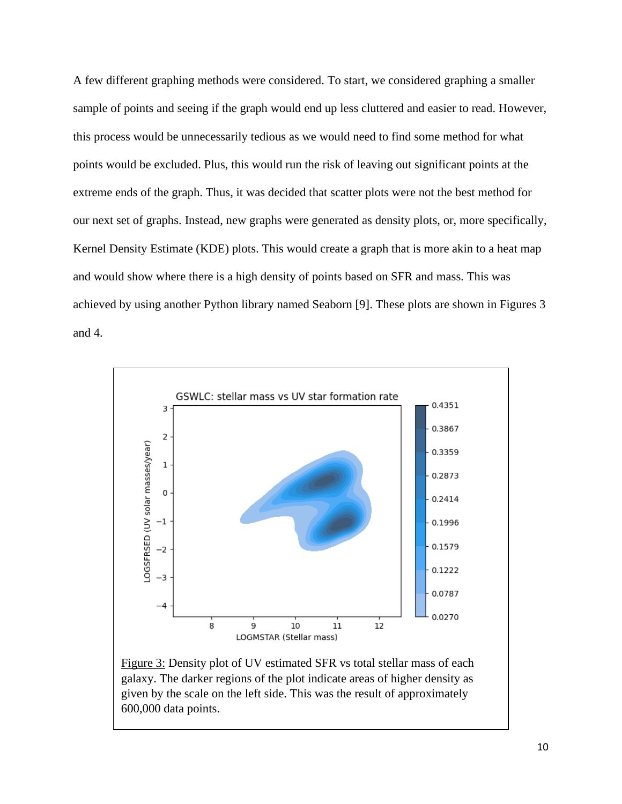A few different graphing methods were considered. To start, we considered graphing a smaller sample of points and seeing if the graph would end up less cluttered and easier to read. However, this process would be unnecessarily tedious as we would need to find some method for what points would be excluded. Plus, this would run the risk of leaving out significant points at the extreme ends of the graph. Thus, it was decided that scatter plots were not the best method for our next set of graphs. Instead, new graphs were generated as density plots, or, more specifically, Kernel Density Estimate (KDE) plots. This would create a graph that is more akin to a heat map and would show where there is a high density of points based on SFR and mass. This was achieved by using another Python library named Seaborn [9]. These plots are shown in Figures 3 and 4.



Figure 3: Density plot of UV estimated SFR vs total stellar mass of each galaxy. The darker regions of the plot indicate areas of higher density as given by the scale on the left side. This was the result of approximately 600,000 data points.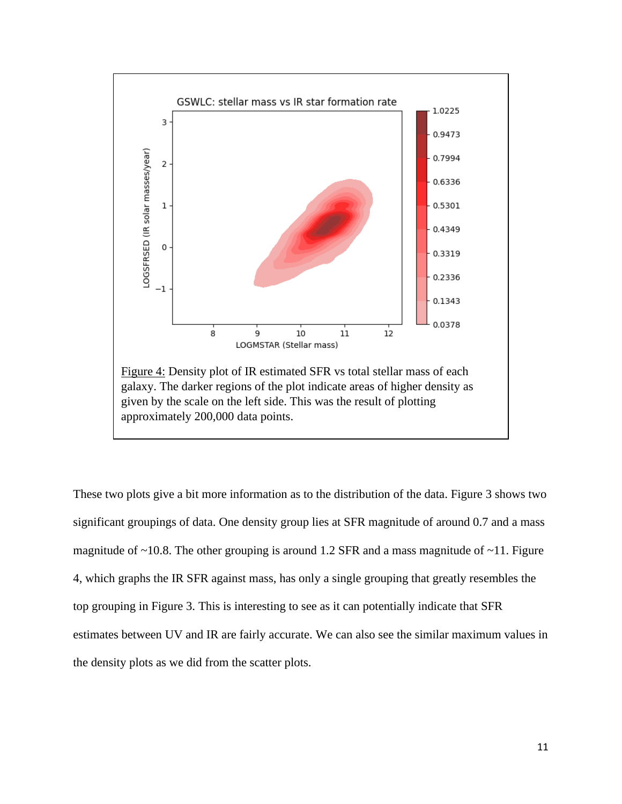

These two plots give a bit more information as to the distribution of the data. Figure 3 shows two significant groupings of data. One density group lies at SFR magnitude of around 0.7 and a mass magnitude of  $\sim$ 10.8. The other grouping is around 1.2 SFR and a mass magnitude of  $\sim$ 11. Figure 4, which graphs the IR SFR against mass, has only a single grouping that greatly resembles the top grouping in Figure 3. This is interesting to see as it can potentially indicate that SFR estimates between UV and IR are fairly accurate. We can also see the similar maximum values in the density plots as we did from the scatter plots.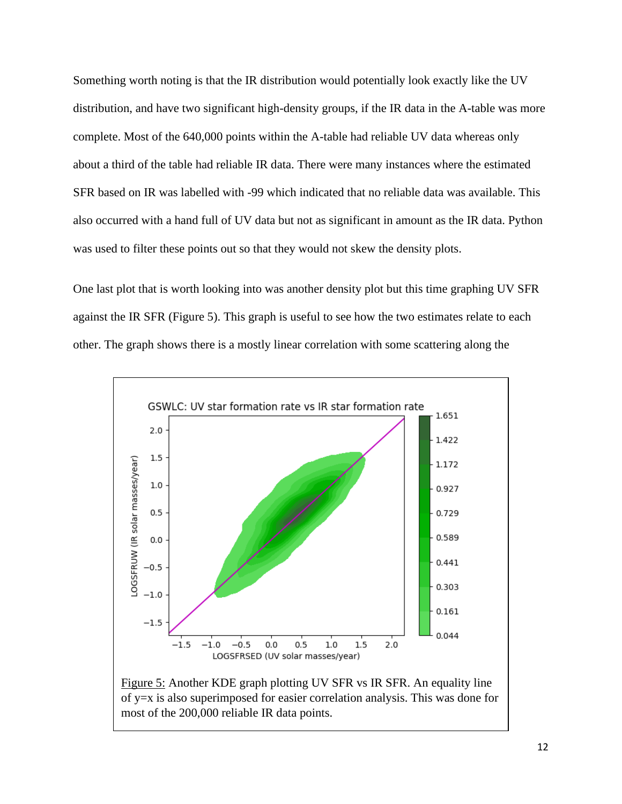Something worth noting is that the IR distribution would potentially look exactly like the UV distribution, and have two significant high-density groups, if the IR data in the A-table was more complete. Most of the 640,000 points within the A-table had reliable UV data whereas only about a third of the table had reliable IR data. There were many instances where the estimated SFR based on IR was labelled with -99 which indicated that no reliable data was available. This also occurred with a hand full of UV data but not as significant in amount as the IR data. Python was used to filter these points out so that they would not skew the density plots.

One last plot that is worth looking into was another density plot but this time graphing UV SFR against the IR SFR (Figure 5). This graph is useful to see how the two estimates relate to each other. The graph shows there is a mostly linear correlation with some scattering along the

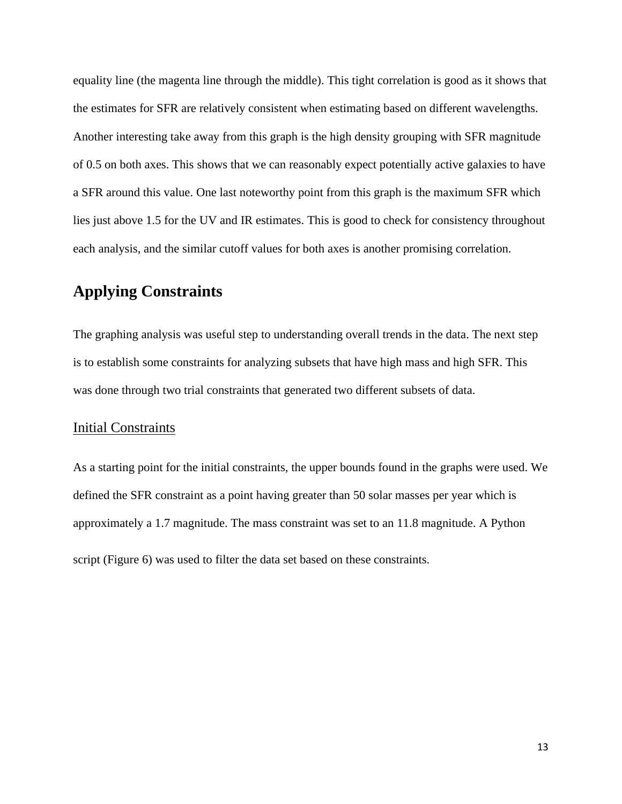equality line (the magenta line through the middle). This tight correlation is good as it shows that the estimates for SFR are relatively consistent when estimating based on different wavelengths. Another interesting take away from this graph is the high density grouping with SFR magnitude of 0.5 on both axes. This shows that we can reasonably expect potentially active galaxies to have a SFR around this value. One last noteworthy point from this graph is the maximum SFR which lies just above 1.5 for the UV and IR estimates. This is good to check for consistency throughout each analysis, and the similar cutoff values for both axes is another promising correlation.

# **Applying Constraints**

The graphing analysis was useful step to understanding overall trends in the data. The next step is to establish some constraints for analyzing subsets that have high mass and high SFR. This was done through two trial constraints that generated two different subsets of data.

#### Initial Constraints

As a starting point for the initial constraints, the upper bounds found in the graphs were used. We defined the SFR constraint as a point having greater than 50 solar masses per year which is approximately a 1.7 magnitude. The mass constraint was set to an 11.8 magnitude. A Python script (Figure 6) was used to filter the data set based on these constraints.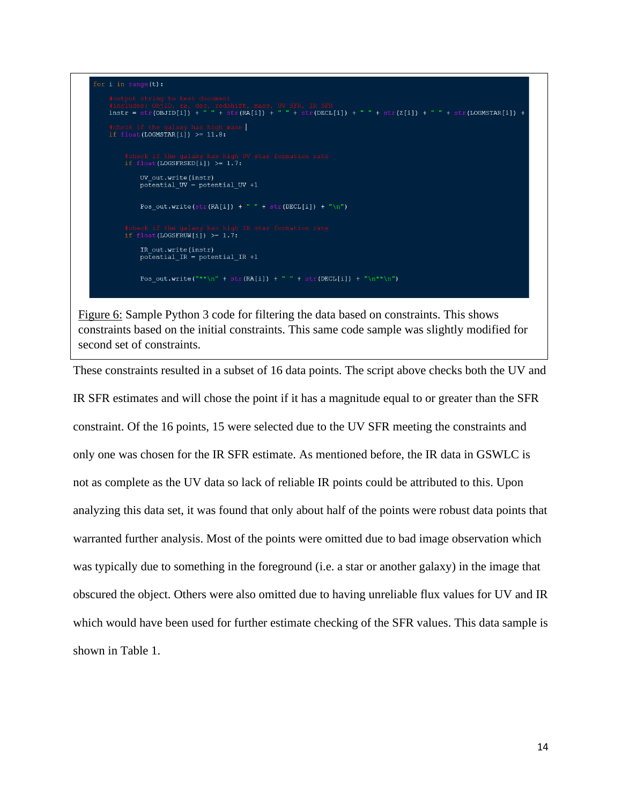

Figure 6: Sample Python 3 code for filtering the data based on constraints. This shows constraints based on the initial constraints. This same code sample was slightly modified for second set of constraints.

These constraints resulted in a subset of 16 data points. The script above checks both the UV and IR SFR estimates and will chose the point if it has a magnitude equal to or greater than the SFR constraint. Of the 16 points, 15 were selected due to the UV SFR meeting the constraints and only one was chosen for the IR SFR estimate. As mentioned before, the IR data in GSWLC is not as complete as the UV data so lack of reliable IR points could be attributed to this. Upon analyzing this data set, it was found that only about half of the points were robust data points that warranted further analysis. Most of the points were omitted due to bad image observation which was typically due to something in the foreground (i.e. a star or another galaxy) in the image that obscured the object. Others were also omitted due to having unreliable flux values for UV and IR which would have been used for further estimate checking of the SFR values. This data sample is shown in Table 1.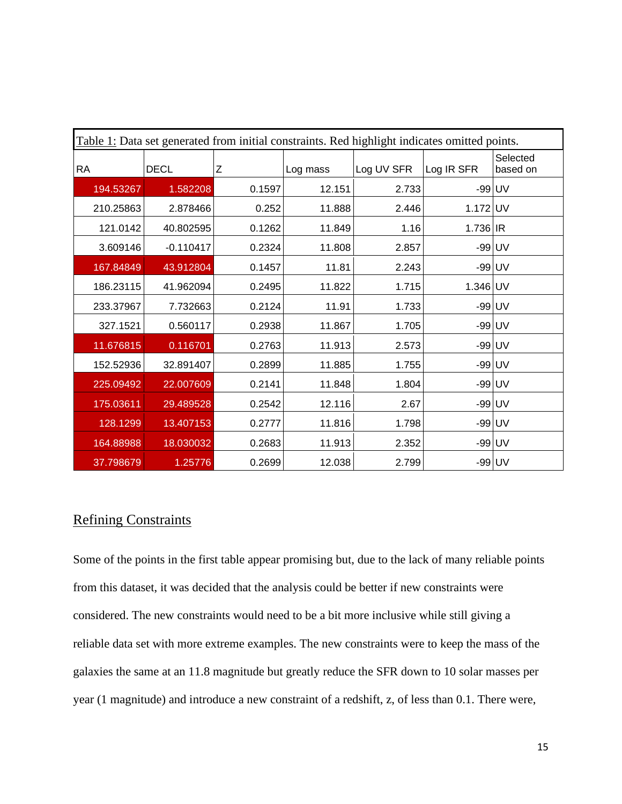| Table 1: Data set generated from initial constraints. Red highlight indicates omitted points. |             |        |          |            |            |                      |  |  |  |  |
|-----------------------------------------------------------------------------------------------|-------------|--------|----------|------------|------------|----------------------|--|--|--|--|
| <b>RA</b>                                                                                     | <b>DECL</b> | Z      | Log mass | Log UV SFR | Log IR SFR | Selected<br>based on |  |  |  |  |
| 194.53267                                                                                     | 1.582208    | 0.1597 | 12.151   | 2.733      | $-99$ UV   |                      |  |  |  |  |
| 210.25863                                                                                     | 2.878466    | 0.252  | 11.888   | 2.446      | 1.172 UV   |                      |  |  |  |  |
| 121.0142                                                                                      | 40.802595   | 0.1262 | 11.849   | 1.16       | $1.736$ IR |                      |  |  |  |  |
| 3.609146                                                                                      | $-0.110417$ | 0.2324 | 11.808   | 2.857      | -99 UV     |                      |  |  |  |  |
| 167.84849                                                                                     | 43.912804   | 0.1457 | 11.81    | 2.243      | -99 UV     |                      |  |  |  |  |
| 186.23115                                                                                     | 41.962094   | 0.2495 | 11.822   | 1.715      | 1.346 UV   |                      |  |  |  |  |
| 233.37967                                                                                     | 7.732663    | 0.2124 | 11.91    | 1.733      | $-99$ UV   |                      |  |  |  |  |
| 327.1521                                                                                      | 0.560117    | 0.2938 | 11.867   | 1.705      | $-99$ UV   |                      |  |  |  |  |
| 11.676815                                                                                     | 0.116701    | 0.2763 | 11.913   | 2.573      | -99 UV     |                      |  |  |  |  |
| 152.52936                                                                                     | 32.891407   | 0.2899 | 11.885   | 1.755      | $-99$ UV   |                      |  |  |  |  |
| 225.09492                                                                                     | 22.007609   | 0.2141 | 11.848   | 1.804      | $-99$ UV   |                      |  |  |  |  |
| 175.03611                                                                                     | 29.489528   | 0.2542 | 12.116   | 2.67       | $-99$ UV   |                      |  |  |  |  |
| 128.1299                                                                                      | 13.407153   | 0.2777 | 11.816   | 1.798      | -99 UV     |                      |  |  |  |  |
| 164.88988                                                                                     | 18.030032   | 0.2683 | 11.913   | 2.352      | $-99$ UV   |                      |  |  |  |  |
| 37.798679                                                                                     | 1.25776     | 0.2699 | 12.038   | 2.799      | $-99$ UV   |                      |  |  |  |  |

# Refining Constraints

Some of the points in the first table appear promising but, due to the lack of many reliable points from this dataset, it was decided that the analysis could be better if new constraints were considered. The new constraints would need to be a bit more inclusive while still giving a reliable data set with more extreme examples. The new constraints were to keep the mass of the galaxies the same at an 11.8 magnitude but greatly reduce the SFR down to 10 solar masses per year (1 magnitude) and introduce a new constraint of a redshift, z, of less than 0.1. There were,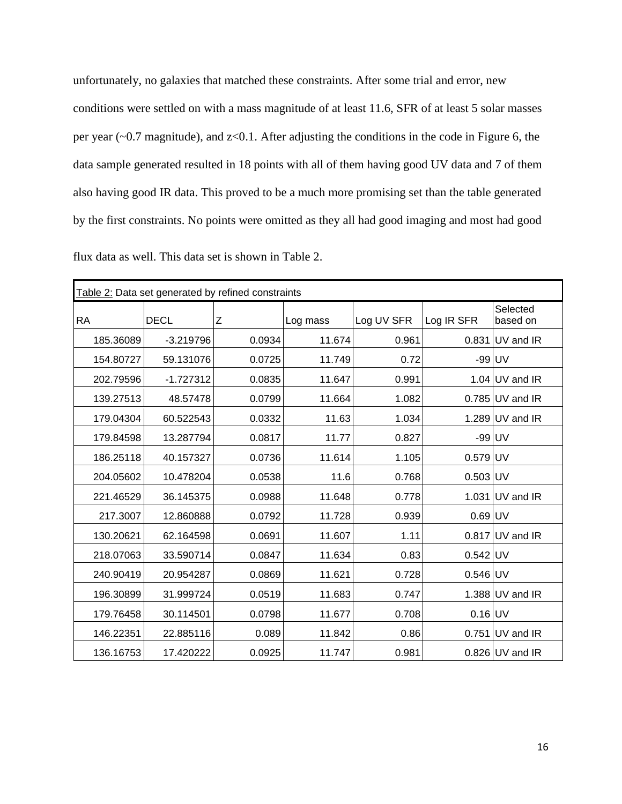unfortunately, no galaxies that matched these constraints. After some trial and error, new conditions were settled on with a mass magnitude of at least 11.6, SFR of at least 5 solar masses per year  $(-0.7 \text{ magnitude})$ , and  $z<0.1$ . After adjusting the conditions in the code in Figure 6, the data sample generated resulted in 18 points with all of them having good UV data and 7 of them also having good IR data. This proved to be a much more promising set than the table generated by the first constraints. No points were omitted as they all had good imaging and most had good

| Table 2: Data set generated by refined constraints |             |        |          |            |            |                      |  |  |  |
|----------------------------------------------------|-------------|--------|----------|------------|------------|----------------------|--|--|--|
| <b>RA</b>                                          | <b>DECL</b> | Ζ      | Log mass | Log UV SFR | Log IR SFR | Selected<br>based on |  |  |  |
| 185.36089                                          | $-3.219796$ | 0.0934 | 11.674   | 0.961      |            | $0.831$ UV and IR    |  |  |  |
| 154.80727                                          | 59.131076   | 0.0725 | 11.749   | 0.72       | -99 UV     |                      |  |  |  |
| 202.79596                                          | $-1.727312$ | 0.0835 | 11.647   | 0.991      |            | 1.04 $UV$ and IR     |  |  |  |
| 139.27513                                          | 48.57478    | 0.0799 | 11.664   | 1.082      |            | $0.785$ UV and IR    |  |  |  |
| 179.04304                                          | 60.522543   | 0.0332 | 11.63    | 1.034      |            | 1.289 $UV$ and IR    |  |  |  |
| 179.84598                                          | 13.287794   | 0.0817 | 11.77    | 0.827      | $-99$ UV   |                      |  |  |  |
| 186.25118                                          | 40.157327   | 0.0736 | 11.614   | 1.105      | $0.579$ UV |                      |  |  |  |
| 204.05602                                          | 10.478204   | 0.0538 | 11.6     | 0.768      | $0.503$ UV |                      |  |  |  |
| 221.46529                                          | 36.145375   | 0.0988 | 11.648   | 0.778      |            | 1.031 UV and IR      |  |  |  |
| 217.3007                                           | 12.860888   | 0.0792 | 11.728   | 0.939      | $0.69$ UV  |                      |  |  |  |
| 130.20621                                          | 62.164598   | 0.0691 | 11.607   | 1.11       |            | $0.817$ UV and IR    |  |  |  |
| 218.07063                                          | 33.590714   | 0.0847 | 11.634   | 0.83       | $0.542$ UV |                      |  |  |  |
| 240.90419                                          | 20.954287   | 0.0869 | 11.621   | 0.728      | $0.546$ UV |                      |  |  |  |
| 196.30899                                          | 31.999724   | 0.0519 | 11.683   | 0.747      |            | 1.388 $UV$ and IR    |  |  |  |
| 179.76458                                          | 30.114501   | 0.0798 | 11.677   | 0.708      | $0.16$ UV  |                      |  |  |  |
| 146.22351                                          | 22.885116   | 0.089  | 11.842   | 0.86       |            | $0.751$ UV and IR    |  |  |  |
| 136.16753                                          | 17.420222   | 0.0925 | 11.747   | 0.981      |            | $0.826$ UV and IR    |  |  |  |

flux data as well. This data set is shown in Table 2.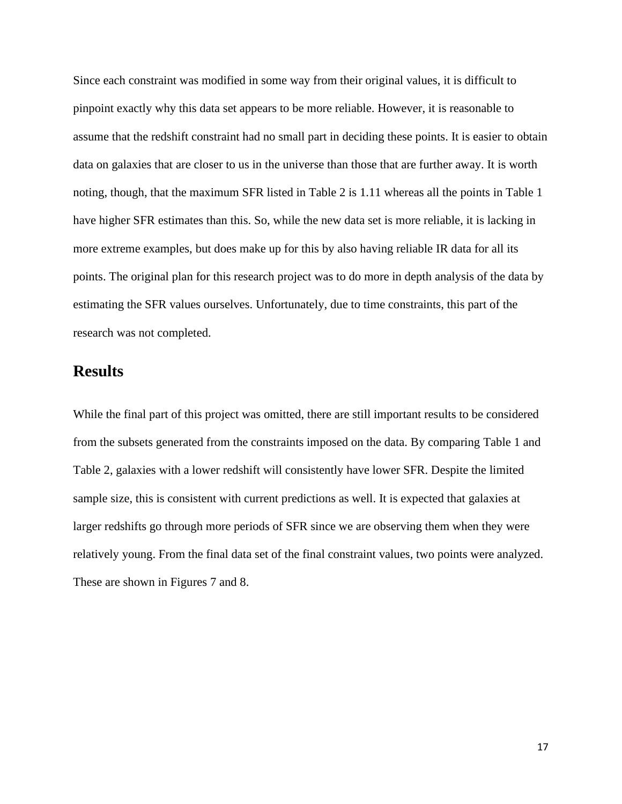Since each constraint was modified in some way from their original values, it is difficult to pinpoint exactly why this data set appears to be more reliable. However, it is reasonable to assume that the redshift constraint had no small part in deciding these points. It is easier to obtain data on galaxies that are closer to us in the universe than those that are further away. It is worth noting, though, that the maximum SFR listed in Table 2 is 1.11 whereas all the points in Table 1 have higher SFR estimates than this. So, while the new data set is more reliable, it is lacking in more extreme examples, but does make up for this by also having reliable IR data for all its points. The original plan for this research project was to do more in depth analysis of the data by estimating the SFR values ourselves. Unfortunately, due to time constraints, this part of the research was not completed.

# **Results**

While the final part of this project was omitted, there are still important results to be considered from the subsets generated from the constraints imposed on the data. By comparing Table 1 and Table 2, galaxies with a lower redshift will consistently have lower SFR. Despite the limited sample size, this is consistent with current predictions as well. It is expected that galaxies at larger redshifts go through more periods of SFR since we are observing them when they were relatively young. From the final data set of the final constraint values, two points were analyzed. These are shown in Figures 7 and 8.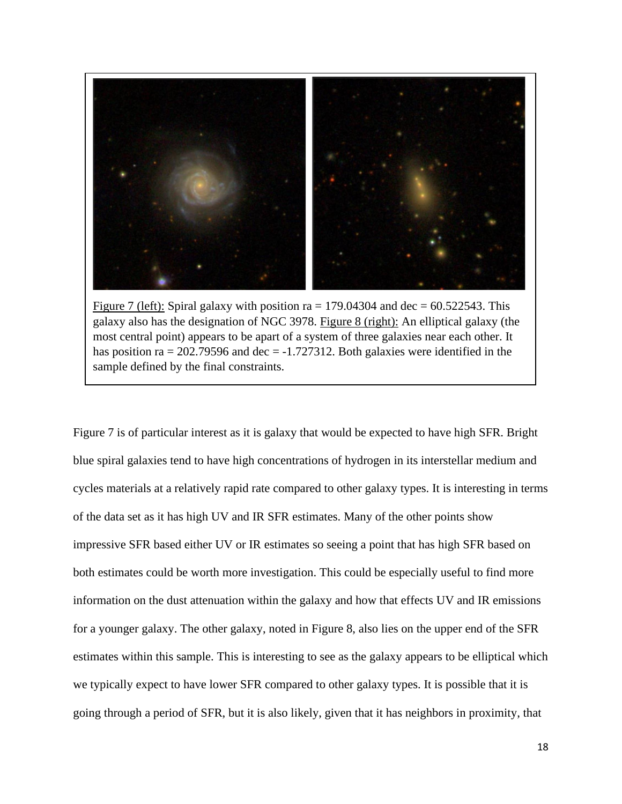

Figure 7 (left): Spiral galaxy with position ra = 179.04304 and dec =  $60.522543$ . This galaxy also has the designation of NGC 3978. Figure 8 (right): An elliptical galaxy (the most central point) appears to be apart of a system of three galaxies near each other. It has position ra = 202.79596 and dec =  $-1.727312$ . Both galaxies were identified in the sample defined by the final constraints.

Figure 7 is of particular interest as it is galaxy that would be expected to have high SFR. Bright blue spiral galaxies tend to have high concentrations of hydrogen in its interstellar medium and cycles materials at a relatively rapid rate compared to other galaxy types. It is interesting in terms of the data set as it has high UV and IR SFR estimates. Many of the other points show impressive SFR based either UV or IR estimates so seeing a point that has high SFR based on both estimates could be worth more investigation. This could be especially useful to find more information on the dust attenuation within the galaxy and how that effects UV and IR emissions for a younger galaxy. The other galaxy, noted in Figure 8, also lies on the upper end of the SFR estimates within this sample. This is interesting to see as the galaxy appears to be elliptical which we typically expect to have lower SFR compared to other galaxy types. It is possible that it is going through a period of SFR, but it is also likely, given that it has neighbors in proximity, that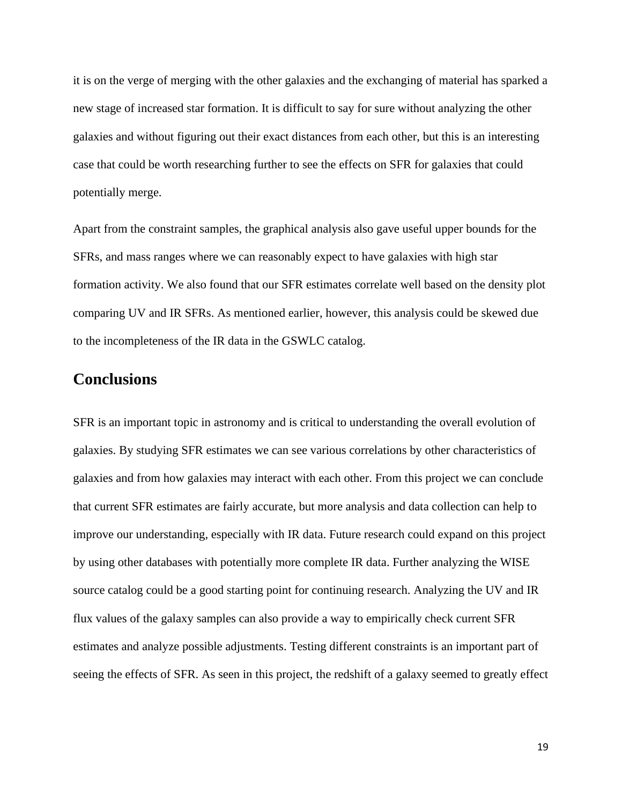it is on the verge of merging with the other galaxies and the exchanging of material has sparked a new stage of increased star formation. It is difficult to say for sure without analyzing the other galaxies and without figuring out their exact distances from each other, but this is an interesting case that could be worth researching further to see the effects on SFR for galaxies that could potentially merge.

Apart from the constraint samples, the graphical analysis also gave useful upper bounds for the SFRs, and mass ranges where we can reasonably expect to have galaxies with high star formation activity. We also found that our SFR estimates correlate well based on the density plot comparing UV and IR SFRs. As mentioned earlier, however, this analysis could be skewed due to the incompleteness of the IR data in the GSWLC catalog.

### **Conclusions**

SFR is an important topic in astronomy and is critical to understanding the overall evolution of galaxies. By studying SFR estimates we can see various correlations by other characteristics of galaxies and from how galaxies may interact with each other. From this project we can conclude that current SFR estimates are fairly accurate, but more analysis and data collection can help to improve our understanding, especially with IR data. Future research could expand on this project by using other databases with potentially more complete IR data. Further analyzing the WISE source catalog could be a good starting point for continuing research. Analyzing the UV and IR flux values of the galaxy samples can also provide a way to empirically check current SFR estimates and analyze possible adjustments. Testing different constraints is an important part of seeing the effects of SFR. As seen in this project, the redshift of a galaxy seemed to greatly effect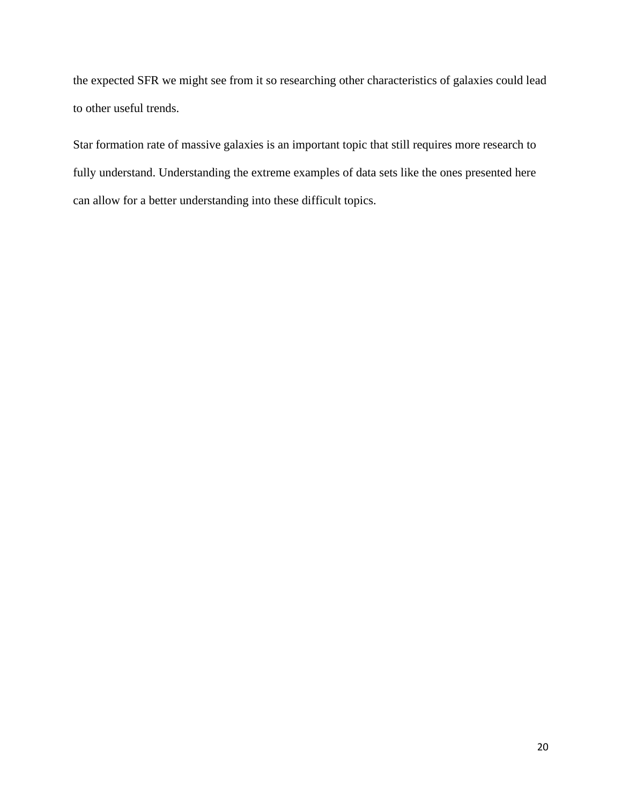the expected SFR we might see from it so researching other characteristics of galaxies could lead to other useful trends.

Star formation rate of massive galaxies is an important topic that still requires more research to fully understand. Understanding the extreme examples of data sets like the ones presented here can allow for a better understanding into these difficult topics.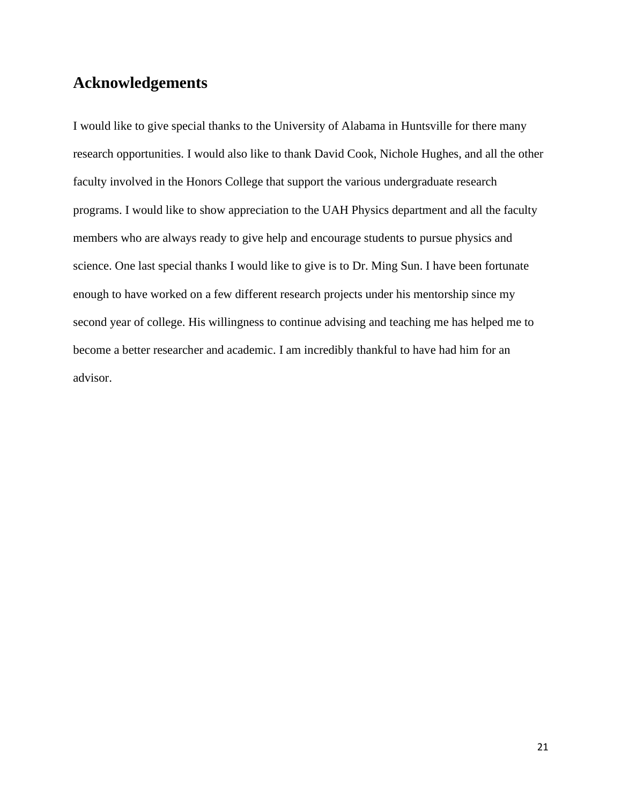# **Acknowledgements**

I would like to give special thanks to the University of Alabama in Huntsville for there many research opportunities. I would also like to thank David Cook, Nichole Hughes, and all the other faculty involved in the Honors College that support the various undergraduate research programs. I would like to show appreciation to the UAH Physics department and all the faculty members who are always ready to give help and encourage students to pursue physics and science. One last special thanks I would like to give is to Dr. Ming Sun. I have been fortunate enough to have worked on a few different research projects under his mentorship since my second year of college. His willingness to continue advising and teaching me has helped me to become a better researcher and academic. I am incredibly thankful to have had him for an advisor.